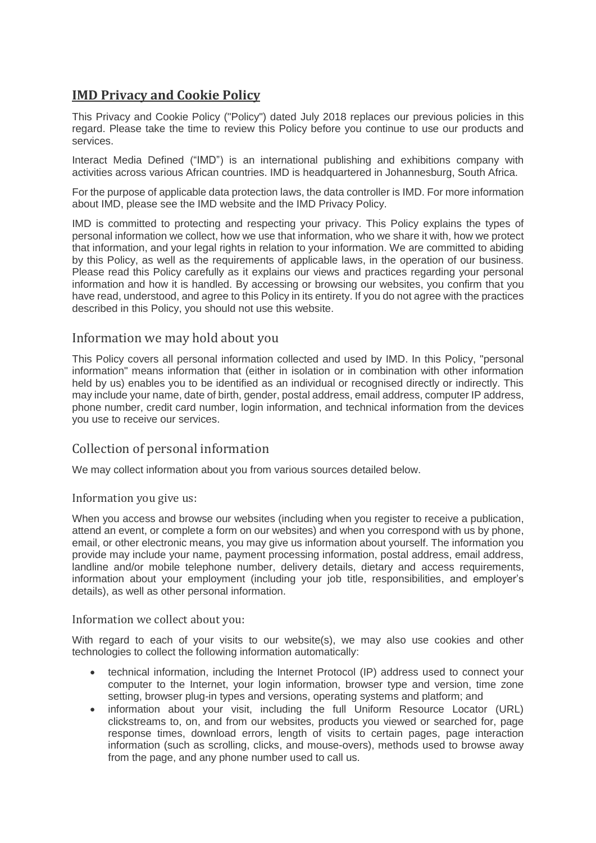# **IMD Privacy and Cookie Policy**

This Privacy and Cookie Policy ("Policy") dated July 2018 replaces our previous policies in this regard. Please take the time to review this Policy before you continue to use our products and services.

Interact Media Defined ("IMD") is an international publishing and exhibitions company with activities across various African countries. IMD is headquartered in Johannesburg, South Africa.

For the purpose of applicable data protection laws, the data controller is IMD. For more information about IMD, please see the IMD website and the IMD Privacy Policy.

IMD is committed to protecting and respecting your privacy. This Policy explains the types of personal information we collect, how we use that information, who we share it with, how we protect that information, and your legal rights in relation to your information. We are committed to abiding by this Policy, as well as the requirements of applicable laws, in the operation of our business. Please read this Policy carefully as it explains our views and practices regarding your personal information and how it is handled. By accessing or browsing our websites, you confirm that you have read, understood, and agree to this Policy in its entirety. If you do not agree with the practices described in this Policy, you should not use this website.

### Information we may hold about you

This Policy covers all personal information collected and used by IMD. In this Policy, "personal information" means information that (either in isolation or in combination with other information held by us) enables you to be identified as an individual or recognised directly or indirectly. This may include your name, date of birth, gender, postal address, email address, computer IP address, phone number, credit card number, login information, and technical information from the devices you use to receive our services.

### Collection of personal information

We may collect information about you from various sources detailed below.

#### Information you give us:

When you access and browse our websites (including when you register to receive a publication, attend an event, or complete a form on our websites) and when you correspond with us by phone, email, or other electronic means, you may give us information about yourself. The information you provide may include your name, payment processing information, postal address, email address, landline and/or mobile telephone number, delivery details, dietary and access requirements, information about your employment (including your job title, responsibilities, and employer's details), as well as other personal information.

#### Information we collect about you:

With regard to each of your visits to our website(s), we may also use cookies and other technologies to collect the following information automatically:

- technical information, including the Internet Protocol (IP) address used to connect your computer to the Internet, your login information, browser type and version, time zone setting, browser plug-in types and versions, operating systems and platform; and
- information about your visit, including the full Uniform Resource Locator (URL) clickstreams to, on, and from our websites, products you viewed or searched for, page response times, download errors, length of visits to certain pages, page interaction information (such as scrolling, clicks, and mouse-overs), methods used to browse away from the page, and any phone number used to call us.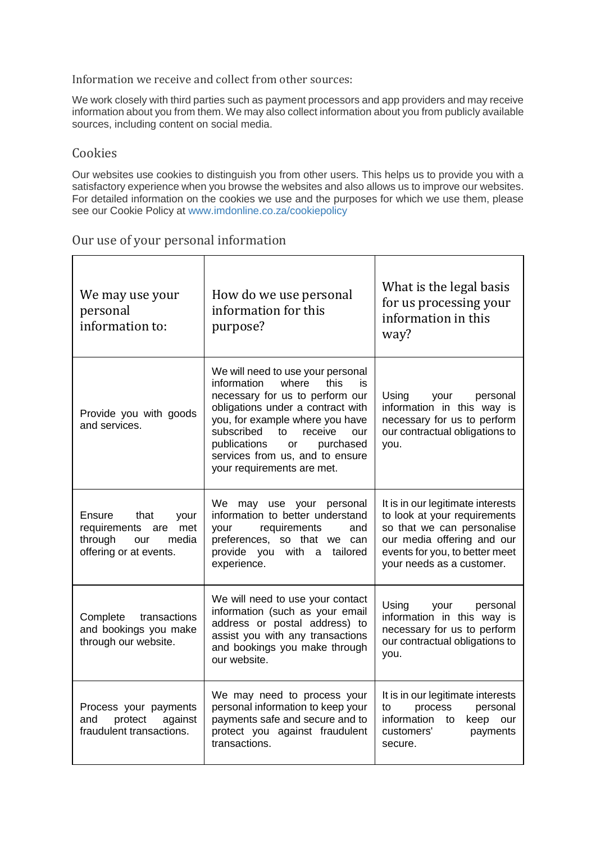Information we receive and collect from other sources:

We work closely with third parties such as payment processors and app providers and may receive information about you from them. We may also collect information about you from publicly available sources, including content on social media.

## Cookies

Our websites use cookies to distinguish you from other users. This helps us to provide you with a satisfactory experience when you browse the websites and also allows us to improve our websites. For detailed information on the cookies we use and the purposes for which we use them, please see our Cookie Policy at [www.imdonline.co.za/cookiepolicy](http://www.imdonline.co.za/cookiepolicy)

# Our use of your personal information

| We may use your<br>personal<br>information to:                                                         | How do we use personal<br>information for this<br>purpose?                                                                                                                                                                                                                                                                   | What is the legal basis<br>for us processing your<br>information in this<br>way?                                                                                                             |
|--------------------------------------------------------------------------------------------------------|------------------------------------------------------------------------------------------------------------------------------------------------------------------------------------------------------------------------------------------------------------------------------------------------------------------------------|----------------------------------------------------------------------------------------------------------------------------------------------------------------------------------------------|
| Provide you with goods<br>and services.                                                                | We will need to use your personal<br>information<br>where<br>this<br>is<br>necessary for us to perform our<br>obligations under a contract with<br>you, for example where you have<br>subscribed<br>to<br>receive<br>our<br>publications<br>purchased<br>or<br>services from us, and to ensure<br>your requirements are met. | Using<br>your<br>personal<br>information in this way is<br>necessary for us to perform<br>our contractual obligations to<br>you.                                                             |
| Ensure<br>that<br>your<br>requirements<br>are met<br>through<br>media<br>our<br>offering or at events. | We may use your<br>personal<br>information to better understand<br>your<br>requirements<br>and<br>preferences, so that we can<br>with<br>tailored<br>provide you<br>a<br>experience.                                                                                                                                         | It is in our legitimate interests<br>to look at your requirements<br>so that we can personalise<br>our media offering and our<br>events for you, to better meet<br>your needs as a customer. |
| Complete<br>transactions<br>and bookings you make<br>through our website.                              | We will need to use your contact<br>information (such as your email<br>address or postal address) to<br>assist you with any transactions<br>and bookings you make through<br>our website.                                                                                                                                    | Using<br>your<br>personal<br>information in this way is<br>necessary for us to perform<br>our contractual obligations to<br>you.                                                             |
| Process your payments<br>against<br>protect<br>and<br>fraudulent transactions.                         | We may need to process your<br>personal information to keep your<br>payments safe and secure and to<br>protect you against fraudulent<br>transactions.                                                                                                                                                                       | It is in our legitimate interests<br>process<br>personal<br>to<br>information to<br>keep our<br>customers'<br>payments<br>secure.                                                            |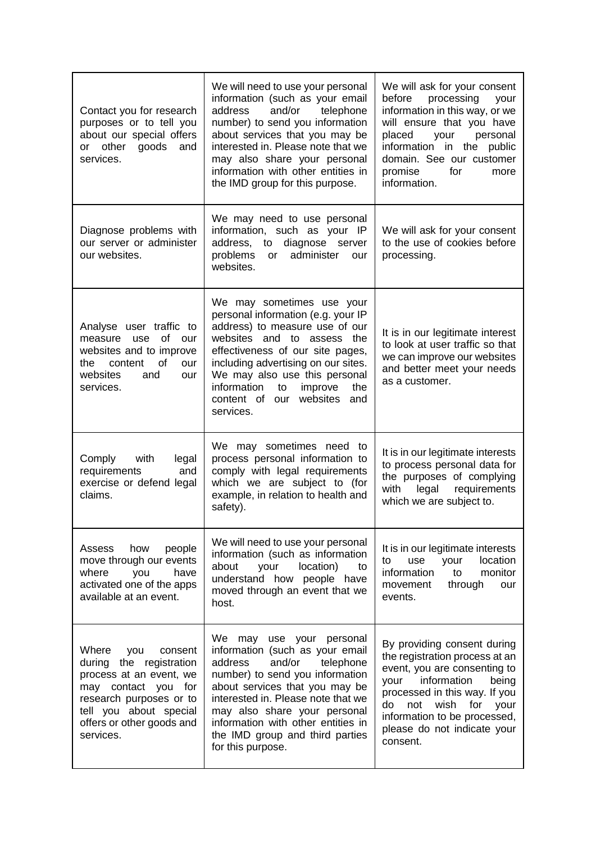| Contact you for research<br>purposes or to tell you<br>about our special offers<br>other goods<br>and<br>or<br>services.                                                                                  | We will need to use your personal<br>information (such as your email<br>and/or<br>address<br>telephone<br>number) to send you information<br>about services that you may be<br>interested in. Please note that we<br>may also share your personal<br>information with other entities in<br>the IMD group for this purpose.              | We will ask for your consent<br>processing<br>before<br>your<br>information in this way, or we<br>will ensure that you have<br>placed<br>personal<br>your<br>information in the public<br>domain. See our customer<br>for<br>promise<br>more<br>information.                  |
|-----------------------------------------------------------------------------------------------------------------------------------------------------------------------------------------------------------|-----------------------------------------------------------------------------------------------------------------------------------------------------------------------------------------------------------------------------------------------------------------------------------------------------------------------------------------|-------------------------------------------------------------------------------------------------------------------------------------------------------------------------------------------------------------------------------------------------------------------------------|
| Diagnose problems with<br>our server or administer<br>our websites.                                                                                                                                       | We may need to use personal<br>information, such as your IP<br>diagnose server<br>address,<br>to<br>problems<br>administer<br>or<br>our<br>websites.                                                                                                                                                                                    | We will ask for your consent<br>to the use of cookies before<br>processing.                                                                                                                                                                                                   |
| Analyse user traffic to<br>of<br>measure<br>use<br>our<br>websites and to improve<br>content<br>οf<br>the<br>our<br>websites<br>and<br>our<br>services.                                                   | We may sometimes use your<br>personal information (e.g. your IP<br>address) to measure use of our<br>websites and to assess the<br>effectiveness of our site pages,<br>including advertising on our sites.<br>We may also use this personal<br>information<br>improve<br>the<br>to<br>content of<br>websites<br>our<br>and<br>services. | It is in our legitimate interest<br>to look at user traffic so that<br>we can improve our websites<br>and better meet your needs<br>as a customer.                                                                                                                            |
| Comply<br>with<br>legal<br>requirements<br>and<br>exercise or defend legal<br>claims.                                                                                                                     | We may sometimes need to<br>process personal information to<br>comply with legal requirements<br>which we are subject to (for<br>example, in relation to health and<br>safety).                                                                                                                                                         | It is in our legitimate interests<br>to process personal data for<br>the purposes of complying<br>legal requirements<br>with<br>which we are subject to.                                                                                                                      |
| Assess<br>how<br>people<br>move through our events<br>have<br>where<br>you<br>activated one of the apps<br>available at an event.                                                                         | We will need to use your personal<br>information (such as information<br>about<br>your<br>location)<br>to<br>understand how people have<br>moved through an event that we<br>host.                                                                                                                                                      | It is in our legitimate interests<br>location<br>use<br>your<br>to<br>information<br>monitor<br>to<br>through<br>movement<br>our<br>events.                                                                                                                                   |
| Where<br>consent<br>you<br>the<br>registration<br>during<br>process at an event, we<br>may contact you for<br>research purposes or to<br>tell you about special<br>offers or other goods and<br>services. | We may use your personal<br>information (such as your email<br>and/or<br>address<br>telephone<br>number) to send you information<br>about services that you may be<br>interested in. Please note that we<br>may also share your personal<br>information with other entities in<br>the IMD group and third parties<br>for this purpose.  | By providing consent during<br>the registration process at an<br>event, you are consenting to<br>information<br>being<br>your<br>processed in this way. If you<br>do<br>wish<br>for<br>not<br>your<br>information to be processed,<br>please do not indicate your<br>consent. |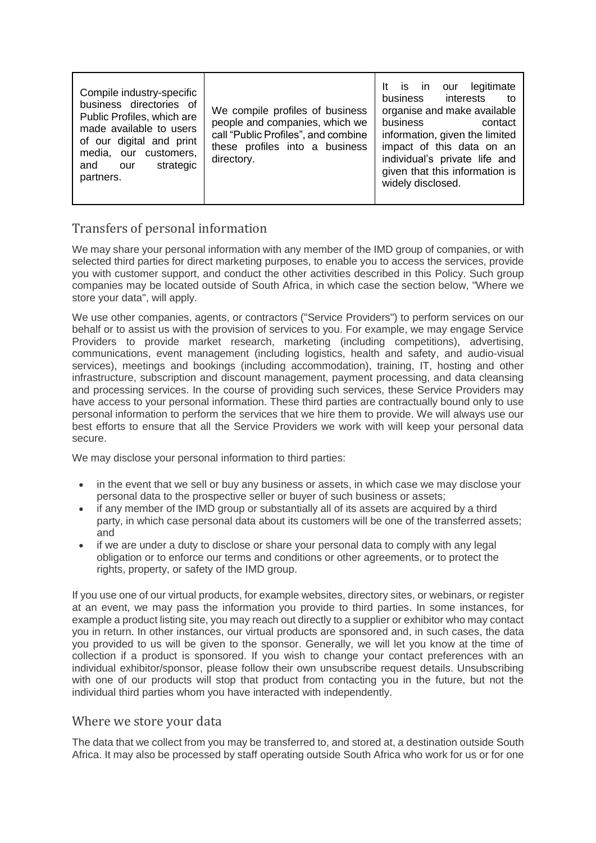| Compile industry-specific<br>business directories of<br>Public Profiles, which are<br>made available to users<br>of our digital and print<br>media, our customers,<br>strategic<br>and our<br>partners. | We compile profiles of business<br>people and companies, which we<br>call "Public Profiles", and combine<br>these profiles into a business<br>directory. | It is in our legitimate<br>interests<br>business<br>to<br>organise and make available<br>business<br>contact<br>information, given the limited<br>impact of this data on an<br>individual's private life and<br>given that this information is<br>widely disclosed. |
|---------------------------------------------------------------------------------------------------------------------------------------------------------------------------------------------------------|----------------------------------------------------------------------------------------------------------------------------------------------------------|---------------------------------------------------------------------------------------------------------------------------------------------------------------------------------------------------------------------------------------------------------------------|
|---------------------------------------------------------------------------------------------------------------------------------------------------------------------------------------------------------|----------------------------------------------------------------------------------------------------------------------------------------------------------|---------------------------------------------------------------------------------------------------------------------------------------------------------------------------------------------------------------------------------------------------------------------|

## Transfers of personal information

We may share your personal information with any member of the IMD group of companies, or with selected third parties for direct marketing purposes, to enable you to access the services, provide you with customer support, and conduct the other activities described in this Policy. Such group companies may be located outside of South Africa, in which case the section below, "Where we store your data", will apply.

We use other companies, agents, or contractors ("Service Providers") to perform services on our behalf or to assist us with the provision of services to you. For example, we may engage Service Providers to provide market research, marketing (including competitions), advertising, communications, event management (including logistics, health and safety, and audio-visual services), meetings and bookings (including accommodation), training, IT, hosting and other infrastructure, subscription and discount management, payment processing, and data cleansing and processing services. In the course of providing such services, these Service Providers may have access to your personal information. These third parties are contractually bound only to use personal information to perform the services that we hire them to provide. We will always use our best efforts to ensure that all the Service Providers we work with will keep your personal data secure.

We may disclose your personal information to third parties:

- in the event that we sell or buy any business or assets, in which case we may disclose your personal data to the prospective seller or buyer of such business or assets;
- if any member of the IMD group or substantially all of its assets are acquired by a third party, in which case personal data about its customers will be one of the transferred assets; and
- if we are under a duty to disclose or share your personal data to comply with any legal obligation or to enforce our terms and conditions or other agreements, or to protect the rights, property, or safety of the IMD group.

If you use one of our virtual products, for example websites, directory sites, or webinars, or register at an event, we may pass the information you provide to third parties. In some instances, for example a product listing site, you may reach out directly to a supplier or exhibitor who may contact you in return. In other instances, our virtual products are sponsored and, in such cases, the data you provided to us will be given to the sponsor. Generally, we will let you know at the time of collection if a product is sponsored. If you wish to change your contact preferences with an individual exhibitor/sponsor, please follow their own unsubscribe request details. Unsubscribing with one of our products will stop that product from contacting you in the future, but not the individual third parties whom you have interacted with independently.

### Where we store your data

The data that we collect from you may be transferred to, and stored at, a destination outside South Africa. It may also be processed by staff operating outside South Africa who work for us or for one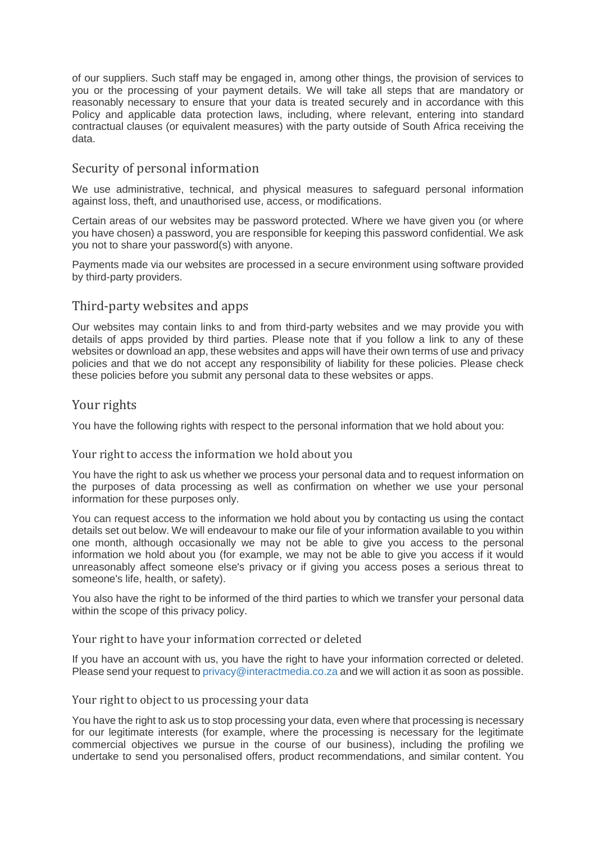of our suppliers. Such staff may be engaged in, among other things, the provision of services to you or the processing of your payment details. We will take all steps that are mandatory or reasonably necessary to ensure that your data is treated securely and in accordance with this Policy and applicable data protection laws, including, where relevant, entering into standard contractual clauses (or equivalent measures) with the party outside of South Africa receiving the data.

### Security of personal information

We use administrative, technical, and physical measures to safeguard personal information against loss, theft, and unauthorised use, access, or modifications.

Certain areas of our websites may be password protected. Where we have given you (or where you have chosen) a password, you are responsible for keeping this password confidential. We ask you not to share your password(s) with anyone.

Payments made via our websites are processed in a secure environment using software provided by third-party providers.

### Third-party websites and apps

Our websites may contain links to and from third-party websites and we may provide you with details of apps provided by third parties. Please note that if you follow a link to any of these websites or download an app, these websites and apps will have their own terms of use and privacy policies and that we do not accept any responsibility of liability for these policies. Please check these policies before you submit any personal data to these websites or apps.

### Your rights

You have the following rights with respect to the personal information that we hold about you:

#### Your right to access the information we hold about you

You have the right to ask us whether we process your personal data and to request information on the purposes of data processing as well as confirmation on whether we use your personal information for these purposes only.

You can request access to the information we hold about you by contacting us using the contact details set out below. We will endeavour to make our file of your information available to you within one month, although occasionally we may not be able to give you access to the personal information we hold about you (for example, we may not be able to give you access if it would unreasonably affect someone else's privacy or if giving you access poses a serious threat to someone's life, health, or safety).

You also have the right to be informed of the third parties to which we transfer your personal data within the scope of this privacy policy.

#### Your right to have your information corrected or deleted

If you have an account with us, you have the right to have your information corrected or deleted. Please send your request t[o privacy@interactmedia.co.za](mailto:privacy@interactmedia.co.za) and we will action it as soon as possible.

#### Your right to object to us processing your data

You have the right to ask us to stop processing your data, even where that processing is necessary for our legitimate interests (for example, where the processing is necessary for the legitimate commercial objectives we pursue in the course of our business), including the profiling we undertake to send you personalised offers, product recommendations, and similar content. You